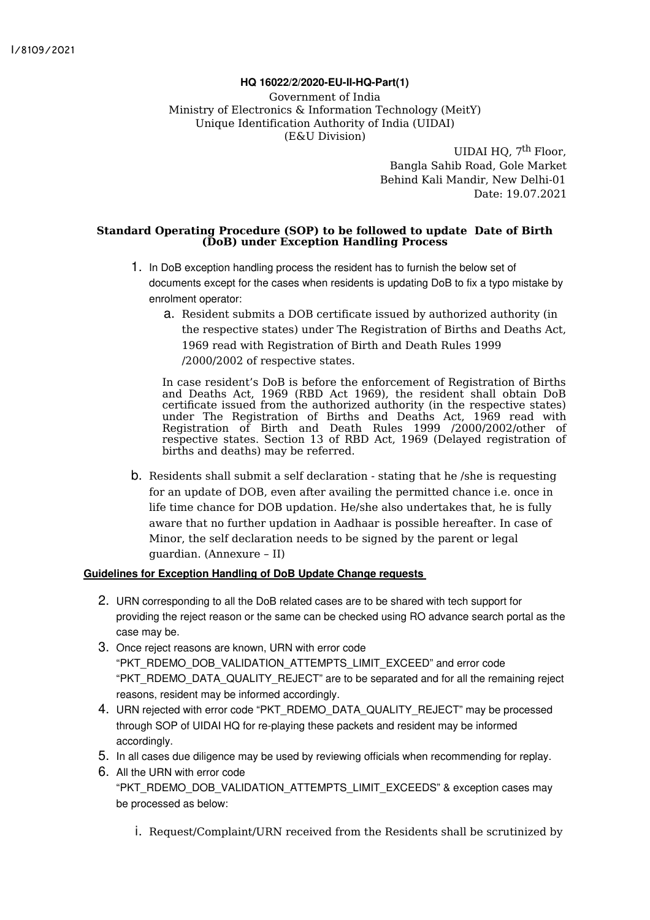# **HQ 16022/2/2020-EU-II-HQ-Part(1)**

Government of India Ministry of Electronics & Information Technology (MeitY) Unique Identification Authority of India (UIDAI) (E&U Division)

> UIDAI HQ, 7<sup>th</sup> Floor, Bangla Sahib Road, Gole Market Behind Kali Mandir, New Delhi-01 Date: 19.07.2021

### **Standard Operating Procedure (SOP) to be followed to update Date of Birth (DoB) under Exception Handling Process**

- 1. In DoB exception handling process the resident has to furnish the below set of documents except for the cases when residents is updating DoB to fix a typo mistake by enrolment operator:
	- a. Resident submits a DOB certificate issued by authorized authority (in the respective states) under The Registration of Births and Deaths Act, 1969 read with Registration of Birth and Death Rules 1999 /2000/2002 of respective states.

In case resident's DoB is before the enforcement of Registration of Births and Deaths Act, 1969 (RBD Act 1969), the resident shall obtain DoB certificate issued from the authorized authority (in the respective states) under The Registration of Births and Deaths Act, 1969 read with Registration of Birth and Death Rules 1999 /2000/2002/other of respective states. Section 13 of RBD Act, 1969 (Delayed registration of births and deaths) may be referred.

b. Residents shall submit a self declaration - stating that he /she is requesting for an update of DOB, even after availing the permitted chance i.e. once in life time chance for DOB updation. He/she also undertakes that, he is fully aware that no further updation in Aadhaar is possible hereafter. In case of Minor, the self declaration needs to be signed by the parent or legal guardian. (Annexure – II)

## **Guidelines for Exception Handling of DoB Update Change requests**

- 2. URN corresponding to all the DoB related cases are to be shared with tech support for providing the reject reason or the same can be checked using RO advance search portal as the case may be.
- 3. Once reject reasons are known, URN with error code "PKT\_RDEMO\_DOB\_VALIDATION\_ATTEMPTS\_LIMIT\_EXCEED" and error code "PKT\_RDEMO\_DATA\_QUALITY\_REJECT" are to be separated and for all the remaining reject reasons, resident may be informed accordingly.
- 4. URN rejected with error code "PKT\_RDEMO\_DATA\_QUALITY\_REJECT" may be processed through SOP of UIDAI HQ for re-playing these packets and resident may be informed accordingly.
- 5. In all cases due diligence may be used by reviewing officials when recommending for replay.
- 6. All the URN with error code

"PKT\_RDEMO\_DOB\_VALIDATION\_ATTEMPTS\_LIMIT\_EXCEEDS" & exception cases may be processed as below:

i. Request/Complaint/URN received from the Residents shall be scrutinized by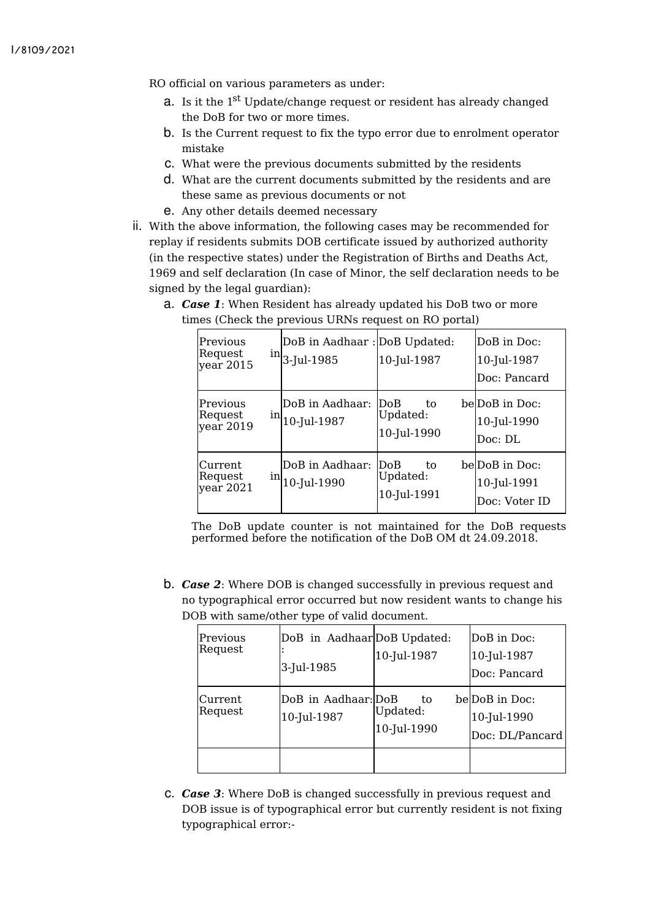RO official on various parameters as under:

- **a**. Is it the 1<sup>st</sup> Update/change request or resident has already changed the DoB for two or more times.
- b. Is the Current request to fix the typo error due to enrolment operator mistake
- c. What were the previous documents submitted by the residents
- d. What are the current documents submitted by the residents and are these same as previous documents or not
- e. Any other details deemed necessary
- ii. With the above information, the following cases may be recommended for replay if residents submits DOB certificate issued by authorized authority (in the respective states) under the Registration of Births and Deaths Act, 1969 and self declaration (In case of Minor, the self declaration needs to be signed by the legal guardian):

| Previous<br>Request<br>year 2015    | inl | DoB in Aadhaar : DoB Updated:<br>3-Jul-1985 | 10-Jul-1987                           | DoB in Doc:<br>10-Jul-1987<br>Doc: Pancard     |
|-------------------------------------|-----|---------------------------------------------|---------------------------------------|------------------------------------------------|
| Previous<br>Request<br>year 2019    | inl | DoB in Aadhaar:<br>10-Jul-1987              | DoB<br>to.<br>Updated:<br>10-Jul-1990 | belDoB in Doc:<br>10-Jul-1990<br>Doc: DL       |
| Current<br>Request<br>$year$ $2021$ | inl | DoB in Aadhaar:<br>10-Jul-1990              | DoB<br>to.<br>Updated:<br>10-Jul-1991 | be DoB in Doc:<br>10-Jul-1991<br>Doc: Voter ID |

a. *Case 1*: When Resident has already updated his DoB two or more times (Check the previous URNs request on RO portal)

The DoB update counter is not maintained for the DoB requests performed before the notification of the DoB OM dt 24.09.2018.

b. *Case 2*: Where DOB is changed successfully in previous request and no typographical error occurred but now resident wants to change his DOB with same/other type of valid document.

| Previous<br>Request | DoB in AadhaarDoB Updated:<br>3-Jul-1985 | 10-Jul-1987                   | DoB in Doc:<br>10-Jul-1987<br>Doc: Pancard       |
|---------------------|------------------------------------------|-------------------------------|--------------------------------------------------|
| Current<br>Request  | DoB in Aadhaar: DoB<br>10-Jul-1987       | to<br>Updated:<br>10-Jul-1990 | belDoB in Doc:<br>10-Jul-1990<br>Doc: DL/Pancard |
|                     |                                          |                               |                                                  |

c. *Case 3*: Where DoB is changed successfully in previous request and DOB issue is of typographical error but currently resident is not fixing typographical error:-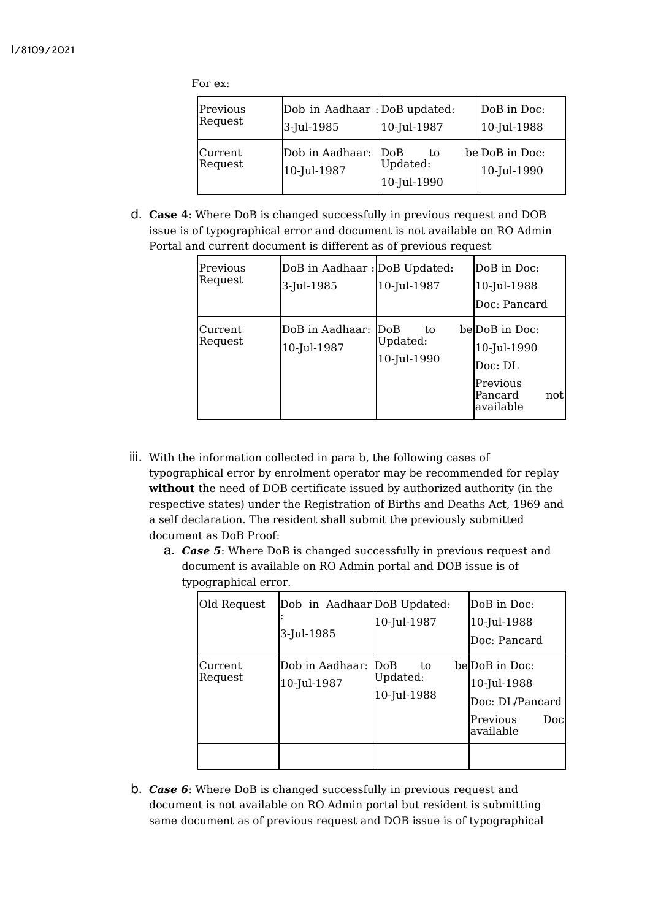For ex:

| Previous<br>Request | Dob in Aadhaar : DoB updated:<br>3-Jul-1985 | 10-Jul-1987                          | DoB in Doc:<br>10-Jul-1988    |
|---------------------|---------------------------------------------|--------------------------------------|-------------------------------|
| Current<br>Request  | Dob in Aadhaar:<br>10-Jul-1987              | DoB<br>to<br>Updated:<br>10-Jul-1990 | be DoB in Doc:<br>10-Jul-1990 |

d. **Case 4**: Where DoB is changed successfully in previous request and DOB issue is of typographical error and document is not available on RO Admin Portal and current document is different as of previous request

| Previous<br>Request | DoB in Aadhaar: DoB Updated:<br>3-Jul-1985 | 10-Jul-1987                                  | DoB in Doc:<br>10-Jul-1988<br>Doc: Pancard                                          |
|---------------------|--------------------------------------------|----------------------------------------------|-------------------------------------------------------------------------------------|
| Current<br>Request  | DoB in Aadhaar:<br>10-Jul-1987             | $\bf{DoB}$<br>t.o<br>Updated:<br>10-Jul-1990 | belDoB in Doc:<br>10-Jul-1990<br>Doc: DL<br>Previous<br>Pancard<br>not<br>available |

- iii. With the information collected in para b, the following cases of typographical error by enrolment operator may be recommended for replay **without** the need of DOB certificate issued by authorized authority (in the respective states) under the Registration of Births and Deaths Act, 1969 and a self declaration. The resident shall submit the previously submitted document as DoB Proof:
	- a. *Case 5*: Where DoB is changed successfully in previous request and document is available on RO Admin portal and DOB issue is of typographical error.

| Old Request        | Dob in AadhaarDoB Updated:<br>3-Jul-1985 | 10-Jul-1987                   | DoB in Doc:<br>10-Jul-1988<br>Doc: Pancard                                        |
|--------------------|------------------------------------------|-------------------------------|-----------------------------------------------------------------------------------|
| Current<br>Request | Dob in Aadhaar: DoB<br>10-Jul-1987       | to<br>Updated:<br>10-Jul-1988 | belDoB in Doc:<br>10-Jul-1988<br>Doc: DL/Pancard<br>Previous<br>Docl<br>available |
|                    |                                          |                               |                                                                                   |

b. *Case 6*: Where DoB is changed successfully in previous request and document is not available on RO Admin portal but resident is submitting same document as of previous request and DOB issue is of typographical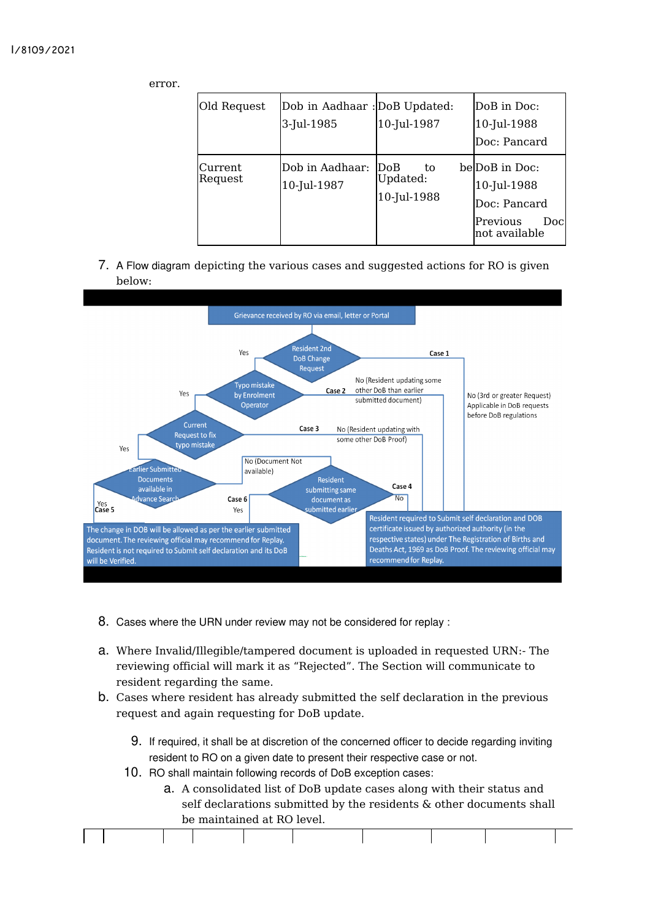### I/8109/2021

error.

| Old Request        | Dob in Aadhaar : DoB Updated:<br>3-Jul-1985 | 10-Jul-1987                           | DoB in Doc:<br>10-Jul-1988                                                         |
|--------------------|---------------------------------------------|---------------------------------------|------------------------------------------------------------------------------------|
|                    |                                             |                                       | Doc: Pancard                                                                       |
| Current<br>Request | Dob in Aadhaar:<br>10-Jul-1987              | DoB<br>to.<br>Updated:<br>10-Jul-1988 | belDoB in Doc:<br>10-Jul-1988<br>Doc: Pancard<br>Previous<br>Docl<br>not available |

7. A Flow diagram depicting the various cases and suggested actions for RO is given below:



- 8. Cases where the URN under review may not be considered for replay :
- a. Where Invalid/Illegible/tampered document is uploaded in requested URN:- The reviewing official will mark it as "Rejected". The Section will communicate to resident regarding the same.
- b. Cases where resident has already submitted the self declaration in the previous request and again requesting for DoB update.
	- 9. If required, it shall be at discretion of the concerned officer to decide regarding inviting resident to RO on a given date to present their respective case or not.
	- 10. RO shall maintain following records of DoB exception cases:
		- a. A consolidated list of DoB update cases along with their status and self declarations submitted by the residents & other documents shall be maintained at RO level.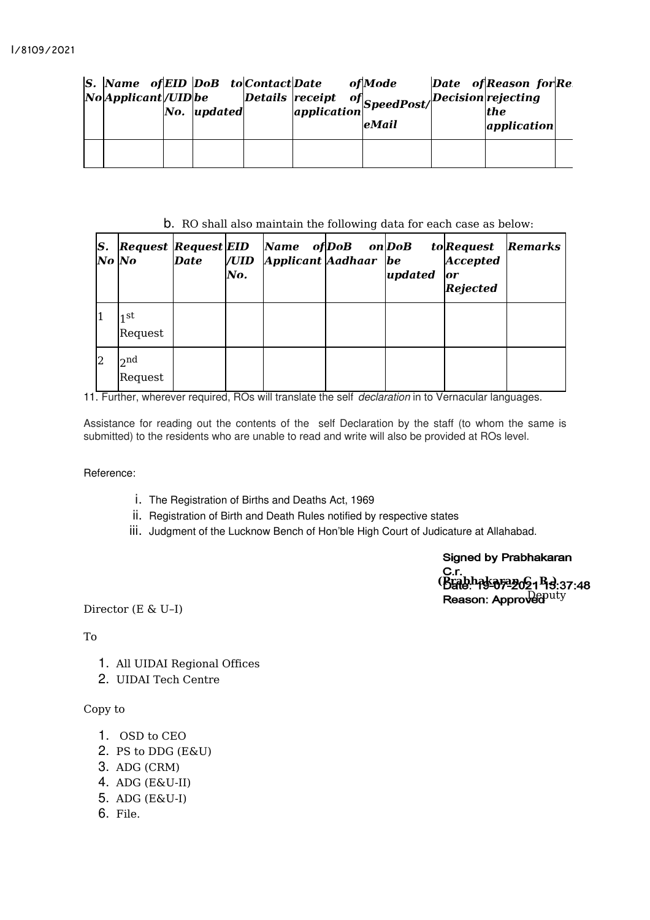| $ S. $ Name of EID DoB to Contact Date<br>No Applicant / UID be | $\bm{No.}$ updated |  | of Mode<br>  Details  receipt of  <br>  application   SpeedPost/ Decision   rejecting<br>  the<br>eMail | Date of Reason for Re<br>application |  |
|-----------------------------------------------------------------|--------------------|--|---------------------------------------------------------------------------------------------------------|--------------------------------------|--|
|                                                                 |                    |  |                                                                                                         |                                      |  |

# b. RO shall also maintain the following data for each case as below:

| S.<br>No  No | <b>Request Request EID</b> | Date | /UID<br>No. | Name of DoB<br>Applicant Aadhaar be | on DoB | updated | <i>to</i> Request<br><b>Accepted</b><br>or<br><b>Rejected</b> | <b>Remarks</b> |
|--------------|----------------------------|------|-------------|-------------------------------------|--------|---------|---------------------------------------------------------------|----------------|
| l1           | 1 St<br>Request            |      |             |                                     |        |         |                                                               |                |
| 2            | 2 <sub>nd</sub><br>Request |      |             |                                     |        |         |                                                               |                |

11. Further, wherever required, ROs will translate the self *declaration* in to Vernacular languages.

Assistance for reading out the contents of the self Declaration by the staff (to whom the same is submitted) to the residents who are unable to read and write will also be provided at ROs level.

### Reference:

- i. The Registration of Births and Deaths Act, 1969
- ii. Registration of Birth and Death Rules notified by respective states
- iii. Judgment of the Lucknow Bench of Hon'ble High Court of Judicature at Allahabad.

**Signed by Prabhakaran** C.r.<br>(Brabhaka۶ª୬o21 หืa:37:48 Reason: Approved<sup>puty</sup>

Director (E & U–I)

## To

- 1. All UIDAI Regional Offices
- 2. UIDAI Tech Centre

## Copy to

- 1. OSD to CEO
- 2. PS to DDG (E&U)
- 3. ADG (CRM)
- 4. ADG (E&U-II)
- 5. ADG (E&U-I)
- 6. File.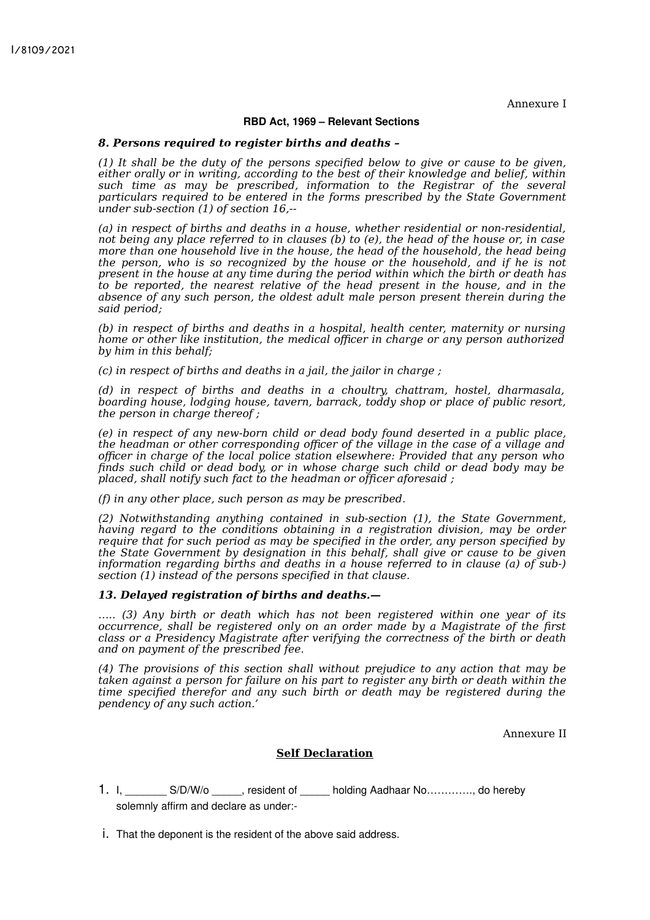Annexure I

#### **RBD Act, 1969 – Relevant Sections**

#### *8. Persons required to register births and deaths –*

*(1) It shall be the duty of the persons specified below to give or cause to be given, either orally or in writing, according to the best of their knowledge and belief, within such time as may be prescribed, information to the Registrar of the several particulars required to be entered in the forms prescribed by the State Government under sub-section (1) of section 16,--*

*(a) in respect of births and deaths in a house, whether residential or non-residential, not being any place referred to in clauses (b) to (e), the head of the house or, in case more than one household live in the house, the head of the household, the head being the person, who is so recognized by the house or the household, and if he is not present in the house at any time during the period within which the birth or death has to be reported, the nearest relative of the head present in the house, and in the absence of any such person, the oldest adult male person present therein during the said period;*

*(b) in respect of births and deaths in a hospital, health center, maternity or nursing home or other like institution, the medical officer in charge or any person authorized by him in this behalf;*

*(c) in respect of births and deaths in a jail, the jailor in charge ;*

*(d) in respect of births and deaths in a choultry, chattram, hostel, dharmasala, boarding house, lodging house, tavern, barrack, toddy shop or place of public resort, the person in charge thereof ;*

*(e) in respect of any new-born child or dead body found deserted in a public place, the headman or other corresponding officer of the village in the case of a village and officer in charge of the local police station elsewhere: Provided that any person who finds such child or dead body, or in whose charge such child or dead body may be placed, shall notify such fact to the headman or officer aforesaid ;*

*(f) in any other place, such person as may be prescribed.*

*(2) Notwithstanding anything contained in sub-section (1), the State Government, having regard to the conditions obtaining in a registration division, may be order require that for such period as may be specified in the order, any person specified by the State Government by designation in this behalf, shall give or cause to be given information regarding births and deaths in a house referred to in clause (a) of sub-) section (1) instead of the persons specified in that clause.*

#### *13. Delayed registration of births and deaths.—*

*….. (3) Any birth or death which has not been registered within one year of its occurrence, shall be registered only on an order made by a Magistrate of the first class or a Presidency Magistrate after verifying the correctness of the birth or death and on payment of the prescribed fee.*

*(4) The provisions of this section shall without prejudice to any action that may be taken against a person for failure on his part to register any birth or death within the time specified therefor and any such birth or death may be registered during the pendency of any such action.'*

Annexure II

#### **Self Declaration**

- 1. I. S/D/W/o , resident of \_\_\_\_\_ holding Aadhaar No…………, do hereby solemnly affirm and declare as under:-
- i. That the deponent is the resident of the above said address.